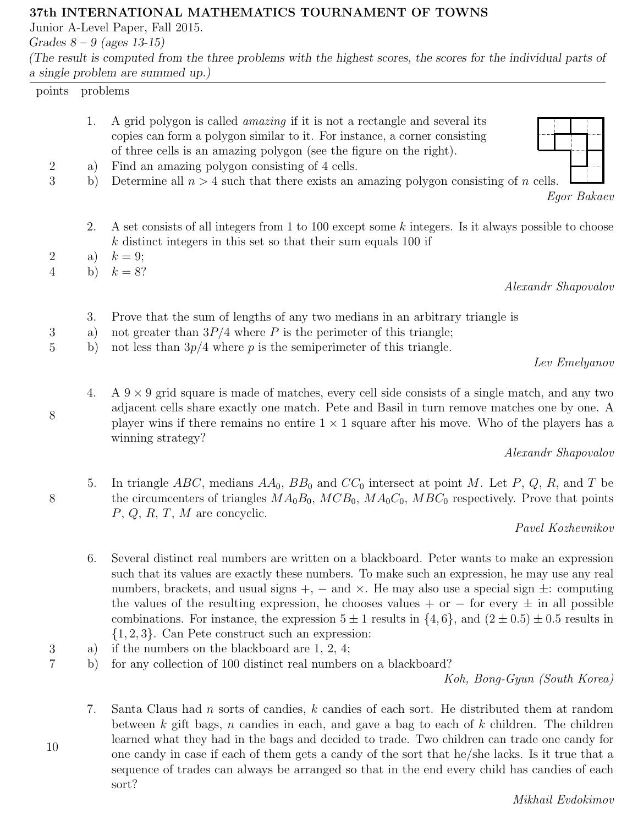## 37th INTERNATIONAL MATHEMATICS TOURNAMENT OF TOWNS

Junior A-Level Paper, Fall 2015.

Grades  $8 - 9$  (ages 13-15)

(The result is computed from the three problems with the highest scores, the scores for the individual parts of a single problem are summed up.)

| $\frac{1}{2}$ only and $\frac{1}{2}$ and $\frac{1}{2}$ and $\frac{1}{2}$ and $\frac{1}{2}$ and $\frac{1}{2}$ and $\frac{1}{2}$ and $\frac{1}{2}$ and $\frac{1}{2}$ and $\frac{1}{2}$ and $\frac{1}{2}$ and $\frac{1}{2}$ and $\frac{1}{2}$ and $\frac{1}{2}$ and $\frac{1}{2}$ and $\frac{1}{$ |          |                                                                                                                                                                                                                                                                                                                                                                                                                       |
|------------------------------------------------------------------------------------------------------------------------------------------------------------------------------------------------------------------------------------------------------------------------------------------------|----------|-----------------------------------------------------------------------------------------------------------------------------------------------------------------------------------------------------------------------------------------------------------------------------------------------------------------------------------------------------------------------------------------------------------------------|
| problems<br>points                                                                                                                                                                                                                                                                             |          |                                                                                                                                                                                                                                                                                                                                                                                                                       |
|                                                                                                                                                                                                                                                                                                | 1.       | A grid polygon is called <i>amazing</i> if it is not a rectangle and several its<br>copies can form a polygon similar to it. For instance, a corner consisting<br>of three cells is an amazing polygon (see the figure on the right).                                                                                                                                                                                 |
| $\boldsymbol{2}$                                                                                                                                                                                                                                                                               | a)       | Find an amazing polygon consisting of 4 cells.                                                                                                                                                                                                                                                                                                                                                                        |
| 3                                                                                                                                                                                                                                                                                              | b)       | Determine all $n > 4$ such that there exists an amazing polygon consisting of n cells.<br>Egor Bakaev                                                                                                                                                                                                                                                                                                                 |
|                                                                                                                                                                                                                                                                                                | 2.       | A set consists of all integers from 1 to 100 except some k integers. Is it always possible to choose<br>$k$ distinct integers in this set so that their sum equals 100 if                                                                                                                                                                                                                                             |
| 2                                                                                                                                                                                                                                                                                              | a)       | $k=9;$                                                                                                                                                                                                                                                                                                                                                                                                                |
| 4                                                                                                                                                                                                                                                                                              |          |                                                                                                                                                                                                                                                                                                                                                                                                                       |
|                                                                                                                                                                                                                                                                                                |          |                                                                                                                                                                                                                                                                                                                                                                                                                       |
| 3                                                                                                                                                                                                                                                                                              | 3.<br>a) | Prove that the sum of lengths of any two medians in an arbitrary triangle is<br>not greater than $3P/4$ where P is the perimeter of this triangle;                                                                                                                                                                                                                                                                    |
|                                                                                                                                                                                                                                                                                                |          |                                                                                                                                                                                                                                                                                                                                                                                                                       |
|                                                                                                                                                                                                                                                                                                |          |                                                                                                                                                                                                                                                                                                                                                                                                                       |
| 8                                                                                                                                                                                                                                                                                              | 4.       | A $9 \times 9$ grid square is made of matches, every cell side consists of a single match, and any two<br>adjacent cells share exactly one match. Pete and Basil in turn remove matches one by one. A<br>player wins if there remains no entire $1 \times 1$ square after his move. Who of the players has a                                                                                                          |
|                                                                                                                                                                                                                                                                                                |          |                                                                                                                                                                                                                                                                                                                                                                                                                       |
|                                                                                                                                                                                                                                                                                                |          |                                                                                                                                                                                                                                                                                                                                                                                                                       |
| $8\phantom{.0}$                                                                                                                                                                                                                                                                                | 5.       | In triangle ABC, medians $AA_0$ , $BB_0$ and $CC_0$ intersect at point M. Let P, Q, R, and T be<br>the circumcenters of triangles $MA_0B_0$ , $MCB_0$ , $MA_0C_0$ , $MBC_0$ respectively. Prove that points<br>$P, Q, R, T, M$ are concyclic.                                                                                                                                                                         |
|                                                                                                                                                                                                                                                                                                |          | Pavel Kozhevnikov                                                                                                                                                                                                                                                                                                                                                                                                     |
|                                                                                                                                                                                                                                                                                                | 6.       | Several distinct real numbers are written on a blackboard. Peter wants to make an expression<br>such that its values are exactly these numbers. To make such an expression, he may use any real<br>numbers, brackets, and usual signs $+$ , $-$ and $\times$ . He may also use a special sign $\pm$ : computing<br>the values of the resulting expression, he chooses values + or $-$ for every $\pm$ in all possible |
| 5                                                                                                                                                                                                                                                                                              | b)<br>b) | $k=8$ ?<br>Alexandr Shapovalov<br>not less than $3p/4$ where p is the semiperimeter of this triangle.<br>Lev Emelyanov<br>winning strategy?<br>Alexandr Shapovalov<br>combinations. For instance, the expression $5 \pm 1$ results in $\{4, 6\}$ , and $(2 \pm 0.5) \pm 0.5$ results in                                                                                                                               |

{1, 2, 3}. Can Pete construct such an expression: 3 a) if the numbers on the blackboard are 1, 2, 4;

10

7 b) for any collection of 100 distinct real numbers on a blackboard?

Koh, Bong-Gyun (South Korea)

7. Santa Claus had n sorts of candies, k candies of each sort. He distributed them at random between  $k$  gift bags,  $n$  candies in each, and gave a bag to each of  $k$  children. The children learned what they had in the bags and decided to trade. Two children can trade one candy for one candy in case if each of them gets a candy of the sort that he/she lacks. Is it true that a sequence of trades can always be arranged so that in the end every child has candies of each sort?

Mikhail Evdokimov